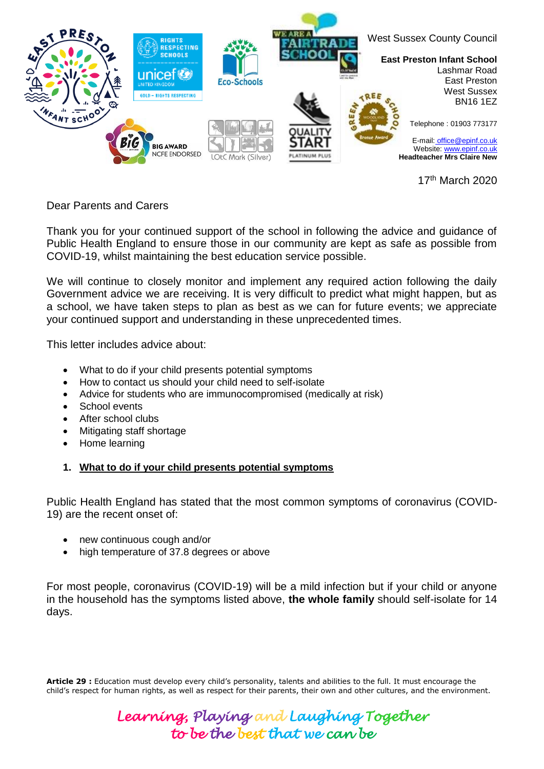

17th March 2020

Dear Parents and Carers

Thank you for your continued support of the school in following the advice and guidance of Public Health England to ensure those in our community are kept as safe as possible from COVID-19, whilst maintaining the best education service possible.

We will continue to closely monitor and implement any required action following the daily Government advice we are receiving. It is very difficult to predict what might happen, but as a school, we have taken steps to plan as best as we can for future events; we appreciate your continued support and understanding in these unprecedented times.

This letter includes advice about:

- What to do if your child presents potential symptoms
- How to contact us should your child need to self-isolate
- Advice for students who are immunocompromised (medically at risk)
- School events
- After school clubs
- Mitigating staff shortage
- Home learning

### **1. What to do if your child presents potential symptoms**

Public Health England has stated that the most common symptoms of coronavirus (COVID-19) are the recent onset of:

- new continuous cough and/or
- high temperature of 37.8 degrees or above

For most people, coronavirus (COVID-19) will be a mild infection but if your child or anyone in the household has the symptoms listed above, **the whole family** should self-isolate for 14 days.

**Article 29 :** Education must develop every child's personality, talents and abilities to the full. It must encourage the child's respect for human rights, as well as respect for their parents, their own and other cultures, and the environment.

> *Learning, Playing and Laughing Together to be the best that we can be*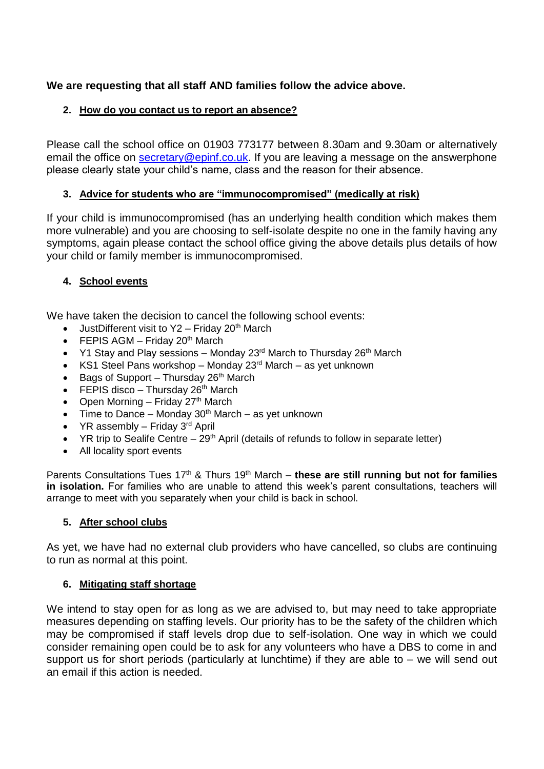# **We are requesting that all staff AND families follow the advice above.**

## **2. How do you contact us to report an absence?**

Please call the school office on 01903 773177 between 8.30am and 9.30am or alternatively email the office on [secretary@epinf.co.uk.](mailto:secretary@epinf.co.uk) If you are leaving a message on the answerphone please clearly state your child's name, class and the reason for their absence.

## **3. Advice for students who are "immunocompromised" (medically at risk)**

If your child is immunocompromised (has an underlying health condition which makes them more vulnerable) and you are choosing to self-isolate despite no one in the family having any symptoms, again please contact the school office giving the above details plus details of how your child or family member is immunocompromised.

## **4. School events**

We have taken the decision to cancel the following school events:

- JustDifferent visit to  $Y2$  Friday 20<sup>th</sup> March
- FEPIS AGM Friday  $20<sup>th</sup>$  March
- $\cdot$  Y1 Stay and Play sessions Monday 23<sup>rd</sup> March to Thursday 26<sup>th</sup> March
- KS1 Steel Pans workshop Monday  $23<sup>rd</sup>$  March as yet unknown
- Bags of Support Thursday  $26<sup>th</sup>$  March
- FEPIS disco Thursday  $26<sup>th</sup>$  March
- Open Morning Friday 27<sup>th</sup> March
- Time to Dance Monday  $30<sup>th</sup>$  March as yet unknown
- YR assembly Friday  $3<sup>rd</sup>$  April
- YR trip to Sealife Centre  $-29<sup>th</sup>$  April (details of refunds to follow in separate letter)
- All locality sport events

Parents Consultations Tues 17<sup>th</sup> & Thurs 19<sup>th</sup> March – these are still running but not for families **in isolation.** For families who are unable to attend this week's parent consultations, teachers will arrange to meet with you separately when your child is back in school.

### **5. After school clubs**

As yet, we have had no external club providers who have cancelled, so clubs are continuing to run as normal at this point.

### **6. Mitigating staff shortage**

We intend to stay open for as long as we are advised to, but may need to take appropriate measures depending on staffing levels. Our priority has to be the safety of the children which may be compromised if staff levels drop due to self-isolation. One way in which we could consider remaining open could be to ask for any volunteers who have a DBS to come in and support us for short periods (particularly at lunchtime) if they are able to – we will send out an email if this action is needed.